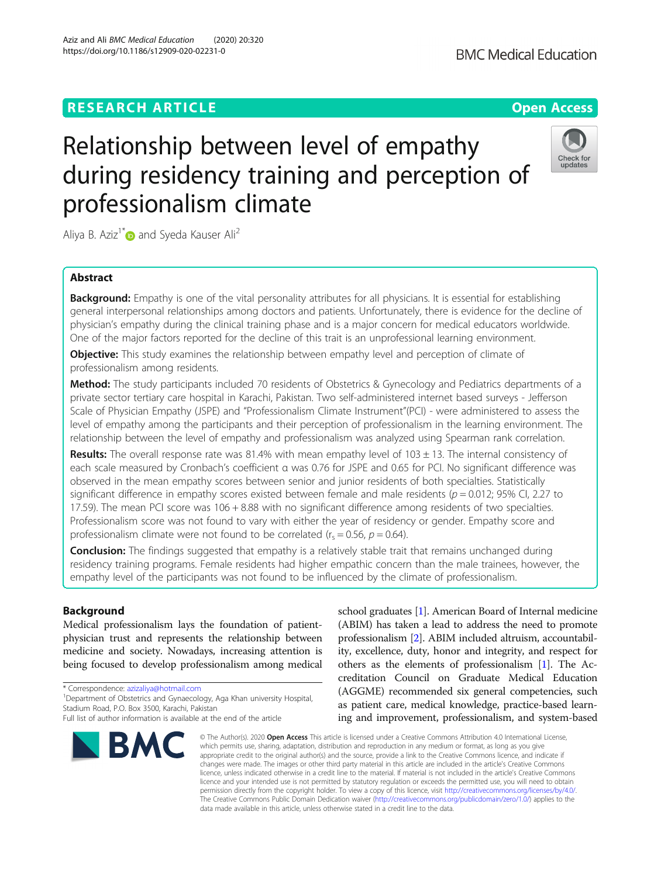# **RESEARCH ARTICLE Example 2014 12:30 The Contract of Contract ACCESS**

# Relationship between level of empathy during residency training and perception of professionalism climate

Aliya B.  $Aziz^{1*}$  and Syeda Kauser Ali<sup>2</sup>

# Abstract

**Background:** Empathy is one of the vital personality attributes for all physicians. It is essential for establishing general interpersonal relationships among doctors and patients. Unfortunately, there is evidence for the decline of physician's empathy during the clinical training phase and is a major concern for medical educators worldwide. One of the major factors reported for the decline of this trait is an unprofessional learning environment.

**Objective:** This study examines the relationship between empathy level and perception of climate of professionalism among residents.

Method: The study participants included 70 residents of Obstetrics & Gynecology and Pediatrics departments of a private sector tertiary care hospital in Karachi, Pakistan. Two self-administered internet based surveys - Jefferson Scale of Physician Empathy (JSPE) and "Professionalism Climate Instrument"(PCI) - were administered to assess the level of empathy among the participants and their perception of professionalism in the learning environment. The relationship between the level of empathy and professionalism was analyzed using Spearman rank correlation.

**Results:** The overall response rate was 81.4% with mean empathy level of  $103 \pm 13$ . The internal consistency of each scale measured by Cronbach's coefficient α was 0.76 for JSPE and 0.65 for PCI. No significant difference was observed in the mean empathy scores between senior and junior residents of both specialties. Statistically significant difference in empathy scores existed between female and male residents ( $p = 0.012$ ; 95% CI, 2.27 to 17.59). The mean PCI score was 106 + 8.88 with no significant difference among residents of two specialties. Professionalism score was not found to vary with either the year of residency or gender. Empathy score and professionalism climate were not found to be correlated ( $r_s = 0.56$ ,  $p = 0.64$ ).

**Conclusion:** The findings suggested that empathy is a relatively stable trait that remains unchanged during residency training programs. Female residents had higher empathic concern than the male trainees, however, the empathy level of the participants was not found to be influenced by the climate of professionalism.

# Background

Medical professionalism lays the foundation of patientphysician trust and represents the relationship between medicine and society. Nowadays, increasing attention is being focused to develop professionalism among medical

\* Correspondence: [azizaliya@hotmail.com](mailto:azizaliya@hotmail.com) <sup>1</sup>

<sup>1</sup>Department of Obstetrics and Gynaecology, Aga Khan university Hospital, Stadium Road, P.O. Box 3500, Karachi, Pakistan

school graduates [[1\]](#page-4-0). American Board of Internal medicine (ABIM) has taken a lead to address the need to promote professionalism [[2\]](#page-4-0). ABIM included altruism, accountability, excellence, duty, honor and integrity, and respect for others as the elements of professionalism [\[1\]](#page-4-0). The Accreditation Council on Graduate Medical Education (AGGME) recommended six general competencies, such as patient care, medical knowledge, practice-based learn-

ing and improvement, professionalism, and system-based

© The Author(s), 2020 **Open Access** This article is licensed under a Creative Commons Attribution 4.0 International License, which permits use, sharing, adaptation, distribution and reproduction in any medium or format, as long as you give appropriate credit to the original author(s) and the source, provide a link to the Creative Commons licence, and indicate if changes were made. The images or other third party material in this article are included in the article's Creative Commons licence, unless indicated otherwise in a credit line to the material. If material is not included in the article's Creative Commons licence and your intended use is not permitted by statutory regulation or exceeds the permitted use, you will need to obtain permission directly from the copyright holder. To view a copy of this licence, visit [http://creativecommons.org/licenses/by/4.0/.](http://creativecommons.org/licenses/by/4.0/) The Creative Commons Public Domain Dedication waiver [\(http://creativecommons.org/publicdomain/zero/1.0/](http://creativecommons.org/publicdomain/zero/1.0/)) applies to the data made available in this article, unless otherwise stated in a credit line to the data.

**BMC** 





Full list of author information is available at the end of the article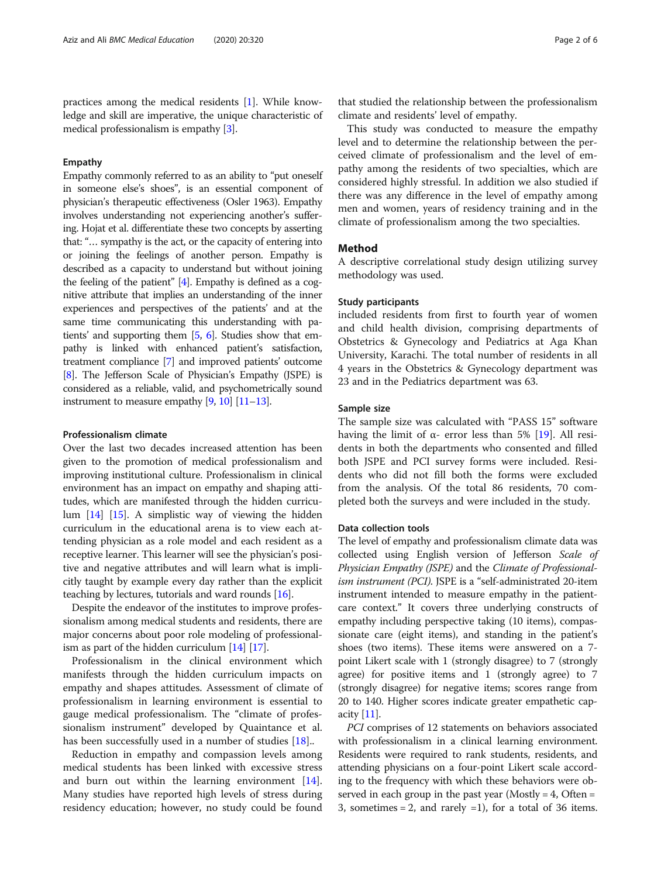practices among the medical residents [\[1](#page-4-0)]. While knowledge and skill are imperative, the unique characteristic of medical professionalism is empathy [\[3\]](#page-5-0).

## Empathy

Empathy commonly referred to as an ability to "put oneself in someone else's shoes", is an essential component of physician's therapeutic effectiveness (Osler 1963). Empathy involves understanding not experiencing another's suffering. Hojat et al. differentiate these two concepts by asserting that: "… sympathy is the act, or the capacity of entering into or joining the feelings of another person. Empathy is described as a capacity to understand but without joining the feeling of the patient"  $[4]$  $[4]$ . Empathy is defined as a cognitive attribute that implies an understanding of the inner experiences and perspectives of the patients' and at the same time communicating this understanding with patients' and supporting them [\[5](#page-5-0), [6\]](#page-5-0). Studies show that empathy is linked with enhanced patient's satisfaction, treatment compliance [[7\]](#page-5-0) and improved patients' outcome [[8](#page-5-0)]. The Jefferson Scale of Physician's Empathy (JSPE) is considered as a reliable, valid, and psychometrically sound instrument to measure empathy  $[9, 10]$  $[9, 10]$  $[9, 10]$   $[11–13]$  $[11–13]$  $[11–13]$ .

# Professionalism climate

Over the last two decades increased attention has been given to the promotion of medical professionalism and improving institutional culture. Professionalism in clinical environment has an impact on empathy and shaping attitudes, which are manifested through the hidden curriculum [[14](#page-5-0)] [[15](#page-5-0)]. A simplistic way of viewing the hidden curriculum in the educational arena is to view each attending physician as a role model and each resident as a receptive learner. This learner will see the physician's positive and negative attributes and will learn what is implicitly taught by example every day rather than the explicit teaching by lectures, tutorials and ward rounds [[16](#page-5-0)].

Despite the endeavor of the institutes to improve professionalism among medical students and residents, there are major concerns about poor role modeling of professionalism as part of the hidden curriculum [\[14\]](#page-5-0) [[17](#page-5-0)].

Professionalism in the clinical environment which manifests through the hidden curriculum impacts on empathy and shapes attitudes. Assessment of climate of professionalism in learning environment is essential to gauge medical professionalism. The "climate of professionalism instrument" developed by Quaintance et al. has been successfully used in a number of studies [\[18\]](#page-5-0)..

Reduction in empathy and compassion levels among medical students has been linked with excessive stress and burn out within the learning environment [\[14](#page-5-0)]. Many studies have reported high levels of stress during residency education; however, no study could be found

that studied the relationship between the professionalism climate and residents' level of empathy.

This study was conducted to measure the empathy level and to determine the relationship between the perceived climate of professionalism and the level of empathy among the residents of two specialties, which are considered highly stressful. In addition we also studied if there was any difference in the level of empathy among men and women, years of residency training and in the climate of professionalism among the two specialties.

# Method

A descriptive correlational study design utilizing survey methodology was used.

# Study participants

included residents from first to fourth year of women and child health division, comprising departments of Obstetrics & Gynecology and Pediatrics at Aga Khan University, Karachi. The total number of residents in all 4 years in the Obstetrics & Gynecology department was 23 and in the Pediatrics department was 63.

## Sample size

The sample size was calculated with "PASS 15" software having the limit of  $α$ - error less than 5% [\[19](#page-5-0)]. All residents in both the departments who consented and filled both JSPE and PCI survey forms were included. Residents who did not fill both the forms were excluded from the analysis. Of the total 86 residents, 70 completed both the surveys and were included in the study.

# Data collection tools

The level of empathy and professionalism climate data was collected using English version of Jefferson Scale of Physician Empathy (JSPE) and the Climate of Professionalism instrument (PCI). JSPE is a "self-administrated 20-item instrument intended to measure empathy in the patientcare context." It covers three underlying constructs of empathy including perspective taking (10 items), compassionate care (eight items), and standing in the patient's shoes (two items). These items were answered on a 7 point Likert scale with 1 (strongly disagree) to 7 (strongly agree) for positive items and 1 (strongly agree) to 7 (strongly disagree) for negative items; scores range from 20 to 140. Higher scores indicate greater empathetic capacity  $|11|$  $|11|$  $|11|$ .

PCI comprises of 12 statements on behaviors associated with professionalism in a clinical learning environment. Residents were required to rank students, residents, and attending physicians on a four-point Likert scale according to the frequency with which these behaviors were observed in each group in the past year (Mostly  $=$  4, Often  $=$ 3, sometimes  $= 2$ , and rarely  $= 1$ ), for a total of 36 items.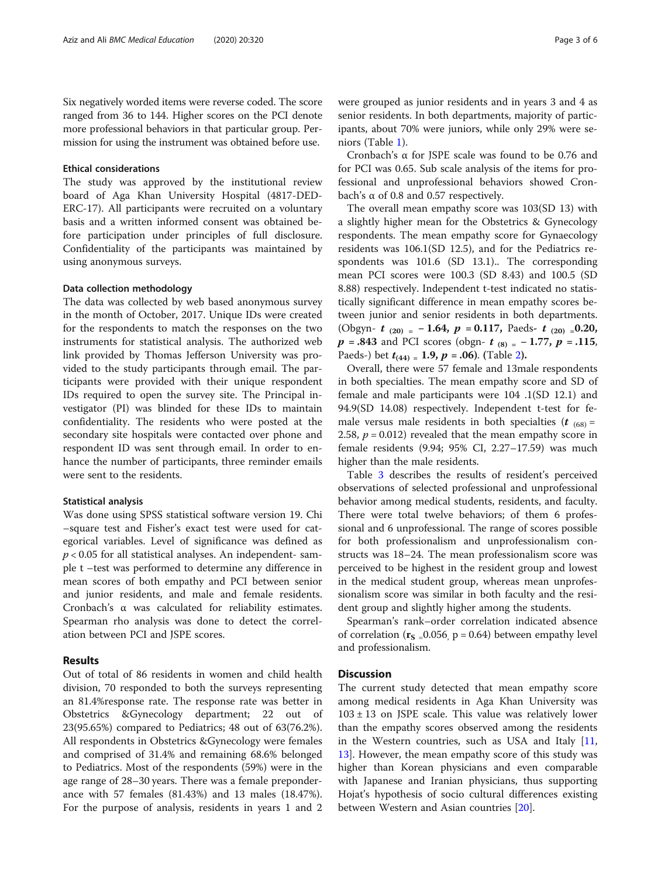Six negatively worded items were reverse coded. The score ranged from 36 to 144. Higher scores on the PCI denote more professional behaviors in that particular group. Permission for using the instrument was obtained before use.

# Ethical considerations

The study was approved by the institutional review board of Aga Khan University Hospital (4817-DED-ERC-17). All participants were recruited on a voluntary basis and a written informed consent was obtained before participation under principles of full disclosure. Confidentiality of the participants was maintained by using anonymous surveys.

## Data collection methodology

The data was collected by web based anonymous survey in the month of October, 2017. Unique IDs were created for the respondents to match the responses on the two instruments for statistical analysis. The authorized web link provided by Thomas Jefferson University was provided to the study participants through email. The participants were provided with their unique respondent IDs required to open the survey site. The Principal investigator (PI) was blinded for these IDs to maintain confidentiality. The residents who were posted at the secondary site hospitals were contacted over phone and respondent ID was sent through email. In order to enhance the number of participants, three reminder emails were sent to the residents.

# Statistical analysis

Was done using SPSS statistical software version 19. Chi –square test and Fisher's exact test were used for categorical variables. Level of significance was defined as  $p < 0.05$  for all statistical analyses. An independent-sample t –test was performed to determine any difference in mean scores of both empathy and PCI between senior and junior residents, and male and female residents. Cronbach's α was calculated for reliability estimates. Spearman rho analysis was done to detect the correlation between PCI and JSPE scores.

# Results

Out of total of 86 residents in women and child health division, 70 responded to both the surveys representing an 81.4%response rate. The response rate was better in Obstetrics &Gynecology department; 22 out of 23(95.65%) compared to Pediatrics; 48 out of 63(76.2%). All respondents in Obstetrics &Gynecology were females and comprised of 31.4% and remaining 68.6% belonged to Pediatrics. Most of the respondents (59%) were in the age range of 28–30 years. There was a female preponderance with 57 females (81.43%) and 13 males (18.47%). For the purpose of analysis, residents in years 1 and 2 were grouped as junior residents and in years 3 and 4 as senior residents. In both departments, majority of participants, about 70% were juniors, while only 29% were seniors (Table [1](#page-3-0)).

Cronbach's α for JSPE scale was found to be 0.76 and for PCI was 0.65. Sub scale analysis of the items for professional and unprofessional behaviors showed Cronbach's α of 0.8 and 0.57 respectively.

The overall mean empathy score was 103(SD 13) with a slightly higher mean for the Obstetrics & Gynecology respondents. The mean empathy score for Gynaecology residents was 106.1(SD 12.5), and for the Pediatrics respondents was 101.6 (SD 13.1).. The corresponding mean PCI scores were 100.3 (SD 8.43) and 100.5 (SD 8.88) respectively. Independent t-test indicated no statistically significant difference in mean empathy scores between junior and senior residents in both departments. (Obgyn-  $t_{(20)} = -1.64$ ,  $p = 0.117$ , Paeds-  $t_{(20)} = 0.20$ ,  $p = .843$  and PCI scores (obgn-  $t_{(8)} = -1.77$ ,  $p = .115$ , Paeds-) bet  $t_{(44)} = 1.9$ ,  $p = .06$ ). (Table [2](#page-3-0)).

Overall, there were 57 female and 13male respondents in both specialties. The mean empathy score and SD of female and male participants were 104 .1(SD 12.1) and 94.9(SD 14.08) respectively. Independent t-test for female versus male residents in both specialties ( $t_{(68)}$  = 2.58,  $p = 0.012$ ) revealed that the mean empathy score in female residents (9.94; 95% CI, 2.27–17.59) was much higher than the male residents.

Table [3](#page-4-0) describes the results of resident's perceived observations of selected professional and unprofessional behavior among medical students, residents, and faculty. There were total twelve behaviors; of them 6 professional and 6 unprofessional. The range of scores possible for both professionalism and unprofessionalism constructs was 18–24. The mean professionalism score was perceived to be highest in the resident group and lowest in the medical student group, whereas mean unprofessionalism score was similar in both faculty and the resident group and slightly higher among the students.

Spearman's rank–order correlation indicated absence of correlation ( $\mathbf{r}_{\mathbf{S}} = 0.056$ , p = 0.64) between empathy level and professionalism.

### **Discussion**

The current study detected that mean empathy score among medical residents in Aga Khan University was  $103 \pm 13$  on JSPE scale. This value was relatively lower than the empathy scores observed among the residents in the Western countries, such as USA and Italy [[11](#page-5-0), [13\]](#page-5-0). However, the mean empathy score of this study was higher than Korean physicians and even comparable with Japanese and Iranian physicians, thus supporting Hojat's hypothesis of socio cultural differences existing between Western and Asian countries [\[20\]](#page-5-0).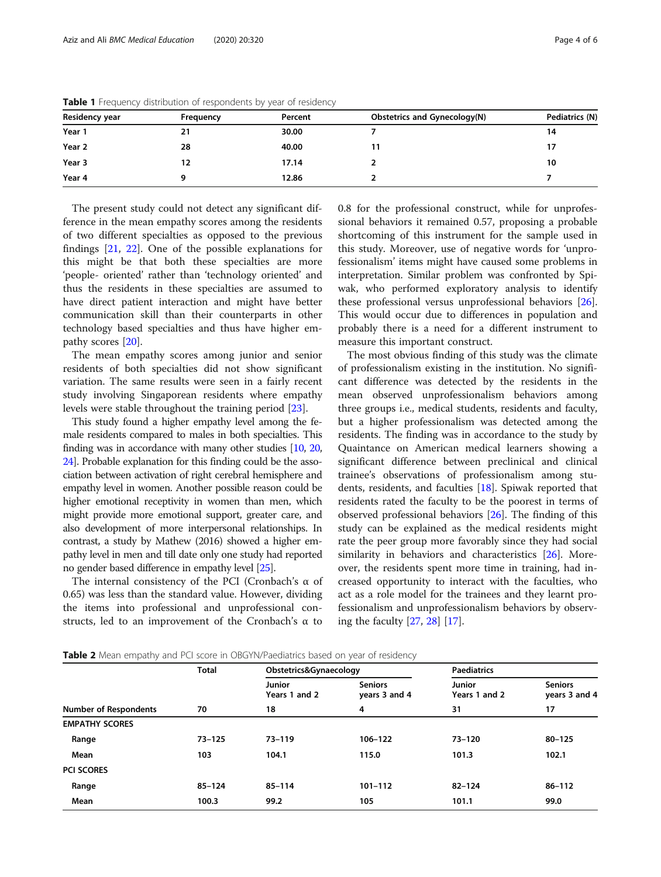| Residency year | Frequency | Percent | <b>Obstetrics and Gynecology(N)</b> | Pediatrics (N) |
|----------------|-----------|---------|-------------------------------------|----------------|
| Year 1         | 21        | 30.00   |                                     | 14             |
| Year 2         | 28        | 40.00   |                                     | 17             |
| Year 3         | 12        | 17.14   |                                     | 10             |
| Year 4         |           | 12.86   |                                     |                |

<span id="page-3-0"></span>Table 1 Frequency distribution of respondents by year of residency

The present study could not detect any significant difference in the mean empathy scores among the residents of two different specialties as opposed to the previous findings [\[21,](#page-5-0) [22](#page-5-0)]. One of the possible explanations for this might be that both these specialties are more 'people- oriented' rather than 'technology oriented' and thus the residents in these specialties are assumed to have direct patient interaction and might have better communication skill than their counterparts in other technology based specialties and thus have higher empathy scores [\[20](#page-5-0)].

The mean empathy scores among junior and senior residents of both specialties did not show significant variation. The same results were seen in a fairly recent study involving Singaporean residents where empathy levels were stable throughout the training period [[23](#page-5-0)].

This study found a higher empathy level among the female residents compared to males in both specialties. This finding was in accordance with many other studies [\[10,](#page-5-0) [20](#page-5-0), [24](#page-5-0)]. Probable explanation for this finding could be the association between activation of right cerebral hemisphere and empathy level in women. Another possible reason could be higher emotional receptivity in women than men, which might provide more emotional support, greater care, and also development of more interpersonal relationships. In contrast, a study by Mathew (2016) showed a higher empathy level in men and till date only one study had reported no gender based difference in empathy level [\[25](#page-5-0)].

The internal consistency of the PCI (Cronbach's α of 0.65) was less than the standard value. However, dividing the items into professional and unprofessional constructs, led to an improvement of the Cronbach's α to

0.8 for the professional construct, while for unprofessional behaviors it remained 0.57, proposing a probable shortcoming of this instrument for the sample used in this study. Moreover, use of negative words for 'unprofessionalism' items might have caused some problems in interpretation. Similar problem was confronted by Spiwak, who performed exploratory analysis to identify these professional versus unprofessional behaviors [\[26](#page-5-0)]. This would occur due to differences in population and probably there is a need for a different instrument to measure this important construct.

The most obvious finding of this study was the climate of professionalism existing in the institution. No significant difference was detected by the residents in the mean observed unprofessionalism behaviors among three groups i.e., medical students, residents and faculty, but a higher professionalism was detected among the residents. The finding was in accordance to the study by Quaintance on American medical learners showing a significant difference between preclinical and clinical trainee's observations of professionalism among students, residents, and faculties [\[18\]](#page-5-0). Spiwak reported that residents rated the faculty to be the poorest in terms of observed professional behaviors [\[26\]](#page-5-0). The finding of this study can be explained as the medical residents might rate the peer group more favorably since they had social similarity in behaviors and characteristics [\[26](#page-5-0)]. Moreover, the residents spent more time in training, had increased opportunity to interact with the faculties, who act as a role model for the trainees and they learnt professionalism and unprofessionalism behaviors by observing the faculty [\[27](#page-5-0), [28](#page-5-0)] [\[17](#page-5-0)].

|                              | <b>Total</b><br>70 | Obstetrics&Gynaecology               |                                      | <b>Paediatrics</b>                   |                                       |
|------------------------------|--------------------|--------------------------------------|--------------------------------------|--------------------------------------|---------------------------------------|
| <b>Number of Respondents</b> |                    | <b>Junior</b><br>Years 1 and 2<br>18 | <b>Seniors</b><br>years 3 and 4<br>4 | <b>Junior</b><br>Years 1 and 2<br>31 | <b>Seniors</b><br>years 3 and 4<br>17 |
|                              |                    |                                      |                                      |                                      |                                       |
| Range                        | $73 - 125$         | $73 - 119$                           | 106-122                              | $73 - 120$                           | $80 - 125$                            |
| Mean                         | 103                | 104.1                                | 115.0                                | 101.3                                | 102.1                                 |
| <b>PCI SCORES</b>            |                    |                                      |                                      |                                      |                                       |
| Range                        | $85 - 124$         | $85 - 114$                           | $101 - 112$                          | $82 - 124$                           | $86 - 112$                            |
| Mean                         | 100.3              | 99.2                                 | 105                                  | 101.1                                | 99.0                                  |

Table 2 Mean empathy and PCI score in OBGYN/Paediatrics based on year of residency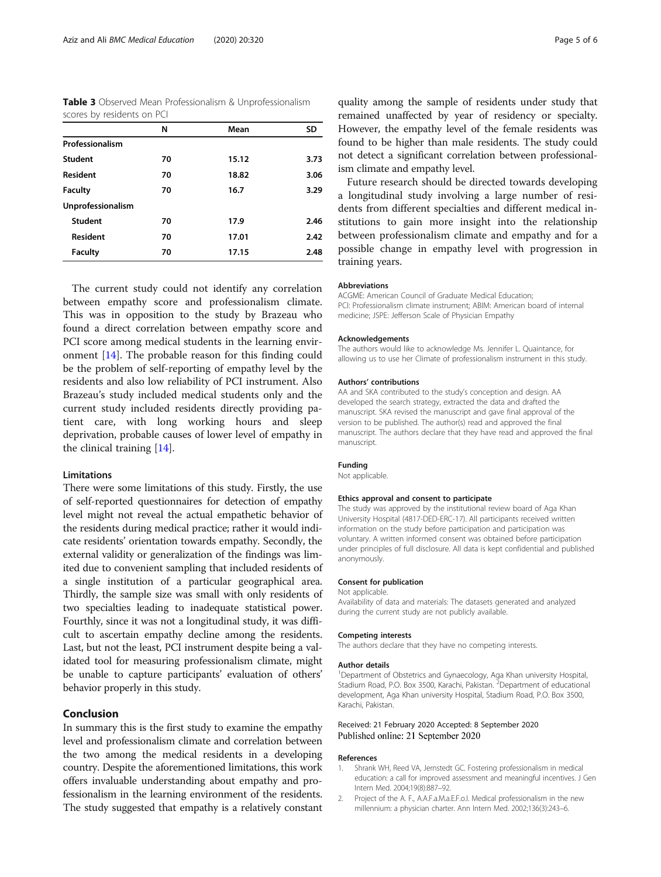<span id="page-4-0"></span>

| N                                                         | Mean | SD |
|-----------------------------------------------------------|------|----|
| scores by residents on PCI                                |      |    |
| Table 3 Observed Mean Professionalism & Unprofessionalism |      |    |

| Professionalism   |    |       |      |
|-------------------|----|-------|------|
| <b>Student</b>    | 70 | 15.12 | 3.73 |
| <b>Resident</b>   | 70 | 18.82 | 3.06 |
| <b>Faculty</b>    | 70 | 16.7  | 3.29 |
| Unprofessionalism |    |       |      |
| <b>Student</b>    | 70 | 17.9  | 2.46 |
| <b>Resident</b>   | 70 | 17.01 | 2.42 |
| <b>Faculty</b>    | 70 | 17.15 | 2.48 |

The current study could not identify any correlation between empathy score and professionalism climate. This was in opposition to the study by Brazeau who found a direct correlation between empathy score and PCI score among medical students in the learning environment [[14\]](#page-5-0). The probable reason for this finding could be the problem of self-reporting of empathy level by the residents and also low reliability of PCI instrument. Also Brazeau's study included medical students only and the current study included residents directly providing patient care, with long working hours and sleep deprivation, probable causes of lower level of empathy in the clinical training [\[14](#page-5-0)].

# **Limitations**

There were some limitations of this study. Firstly, the use of self-reported questionnaires for detection of empathy level might not reveal the actual empathetic behavior of the residents during medical practice; rather it would indicate residents' orientation towards empathy. Secondly, the external validity or generalization of the findings was limited due to convenient sampling that included residents of a single institution of a particular geographical area. Thirdly, the sample size was small with only residents of two specialties leading to inadequate statistical power. Fourthly, since it was not a longitudinal study, it was difficult to ascertain empathy decline among the residents. Last, but not the least, PCI instrument despite being a validated tool for measuring professionalism climate, might be unable to capture participants' evaluation of others' behavior properly in this study.

# Conclusion

In summary this is the first study to examine the empathy level and professionalism climate and correlation between the two among the medical residents in a developing country. Despite the aforementioned limitations, this work offers invaluable understanding about empathy and professionalism in the learning environment of the residents. The study suggested that empathy is a relatively constant

quality among the sample of residents under study that remained unaffected by year of residency or specialty. However, the empathy level of the female residents was found to be higher than male residents. The study could not detect a significant correlation between professionalism climate and empathy level.

Future research should be directed towards developing a longitudinal study involving a large number of residents from different specialties and different medical institutions to gain more insight into the relationship between professionalism climate and empathy and for a possible change in empathy level with progression in training years.

#### Abbreviations

ACGME: American Council of Graduate Medical Education; PCI: Professionalism climate instrument; ABIM: American board of internal medicine; JSPE: Jefferson Scale of Physician Empathy

#### Acknowledgements

The authors would like to acknowledge Ms. Jennifer L. Quaintance, for allowing us to use her Climate of professionalism instrument in this study.

#### Authors' contributions

AA and SKA contributed to the study's conception and design. AA developed the search strategy, extracted the data and drafted the manuscript. SKA revised the manuscript and gave final approval of the version to be published. The author(s) read and approved the final manuscript. The authors declare that they have read and approved the final manuscript.

# Funding

Not applicable.

#### Ethics approval and consent to participate

The study was approved by the institutional review board of Aga Khan University Hospital (4817-DED-ERC-17). All participants received written information on the study before participation and participation was voluntary. A written informed consent was obtained before participation under principles of full disclosure. All data is kept confidential and published anonymously.

#### Consent for publication

#### Not applicable.

Availability of data and materials: The datasets generated and analyzed during the current study are not publicly available.

#### Competing interests

The authors declare that they have no competing interests.

#### Author details

<sup>1</sup>Department of Obstetrics and Gynaecology, Aga Khan university Hospital Stadium Road, P.O. Box 3500, Karachi, Pakistan. <sup>2</sup> Department of educational development, Aga Khan university Hospital, Stadium Road, P.O. Box 3500, Karachi, Pakistan.

# Received: 21 February 2020 Accepted: 8 September 2020 Published online: 21 September 2020

#### References

- 1. Shrank WH, Reed VA, Jernstedt GC. Fostering professionalism in medical education: a call for improved assessment and meaningful incentives. J Gen Intern Med. 2004;19(8):887–92.
- 2. Project of the A. F., A.A.F.a.M.a.E.F.o.I. Medical professionalism in the new millennium: a physician charter. Ann Intern Med. 2002;136(3):243–6.